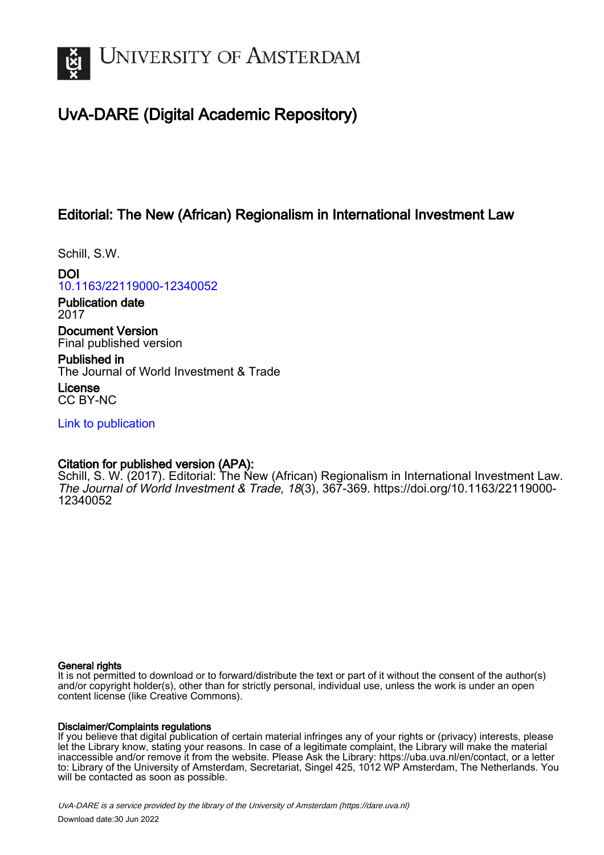

# UvA-DARE (Digital Academic Repository)

### Editorial: The New (African) Regionalism in International Investment Law

Schill, S.W.

DOI [10.1163/22119000-12340052](https://doi.org/10.1163/22119000-12340052)

Publication date 2017

Document Version Final published version

Published in The Journal of World Investment & Trade

License CC BY-NC

[Link to publication](https://dare.uva.nl/personal/pure/en/publications/editorial-the-new-african-regionalism-in-international-investment-law(f8c2726d-8c12-4422-955e-eb83d9065979).html)

### Citation for published version (APA):

Schill, S. W. (2017). Editorial: The New (African) Regionalism in International Investment Law. The Journal of World Investment & Trade, 18(3), 367-369. [https://doi.org/10.1163/22119000-](https://doi.org/10.1163/22119000-12340052) [12340052](https://doi.org/10.1163/22119000-12340052)

#### General rights

It is not permitted to download or to forward/distribute the text or part of it without the consent of the author(s) and/or copyright holder(s), other than for strictly personal, individual use, unless the work is under an open content license (like Creative Commons).

#### Disclaimer/Complaints regulations

If you believe that digital publication of certain material infringes any of your rights or (privacy) interests, please let the Library know, stating your reasons. In case of a legitimate complaint, the Library will make the material inaccessible and/or remove it from the website. Please Ask the Library: https://uba.uva.nl/en/contact, or a letter to: Library of the University of Amsterdam, Secretariat, Singel 425, 1012 WP Amsterdam, The Netherlands. You will be contacted as soon as possible.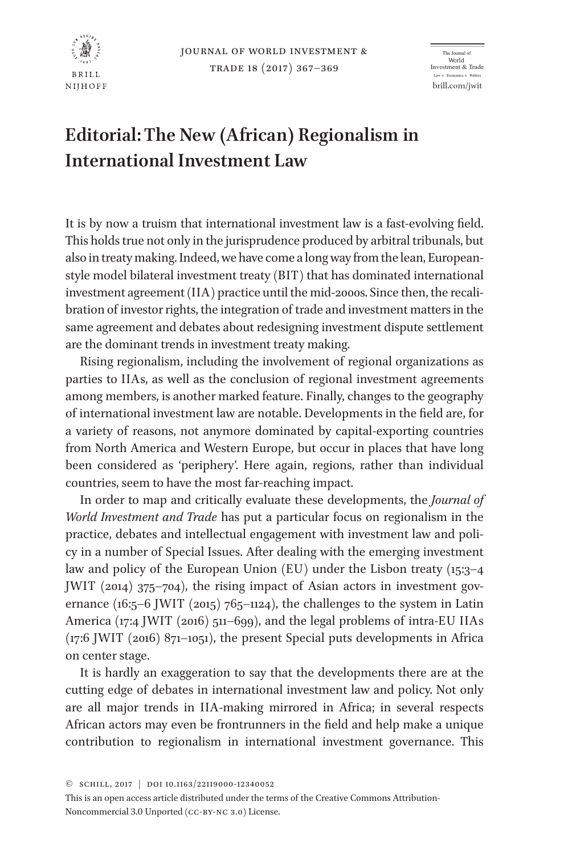

The Journal of World world<br>Investment & Trade Law \* Feonomics \* Politibrill.com/jwit

## **Editorial: The New (African) Regionalism in International Investment Law**

It is by now a truism that international investment law is a fast-evolving field. This holds true not only in the jurisprudence produced by arbitral tribunals, but also in treaty making. Indeed, we have come a long way from the lean, Europeanstyle model bilateral investment treaty (BIT) that has dominated international investment agreement (IIA) practice until the mid-2000s. Since then, the recalibration of investor rights, the integration of trade and investment matters in the same agreement and debates about redesigning investment dispute settlement are the dominant trends in investment treaty making.

Rising regionalism, including the involvement of regional organizations as parties to IIAs, as well as the conclusion of regional investment agreements among members, is another marked feature. Finally, changes to the geography of international investment law are notable. Developments in the field are, for a variety of reasons, not anymore dominated by capital-exporting countries from North America and Western Europe, but occur in places that have long been considered as 'periphery'. Here again, regions, rather than individual countries, seem to have the most far-reaching impact.

In order to map and critically evaluate these developments, the *Journal of World Investment and Trade* has put a particular focus on regionalism in the practice, debates and intellectual engagement with investment law and policy in a number of Special Issues. After dealing with the emerging investment law and policy of the European Union (EU) under the Lisbon treaty (15:3–4 JWIT (2014) 375–704), the rising impact of Asian actors in investment governance  $(16:5-6$  JWIT  $(2015)$  765–1124), the challenges to the system in Latin America (17:4 JWIT (2016) 511–699), and the legal problems of intra-EU IIAs (17:6 JWIT (2016) 871–1051), the present Special puts developments in Africa on center stage.

It is hardly an exaggeration to say that the developments there are at the cutting edge of debates in international investment law and policy. Not only are all major trends in IIA-making mirrored in Africa; in several respects African actors may even be frontrunners in the field and help make a unique contribution to regionalism in international investment governance. This

<sup>©</sup> Schill, 2017 | DOI 10.1163/22119000-12340052

This is an open access article distributed under the terms of the Creative Commons Attribution-Noncommercial 3.0 Unported (CC-BY-NC 3.0) License.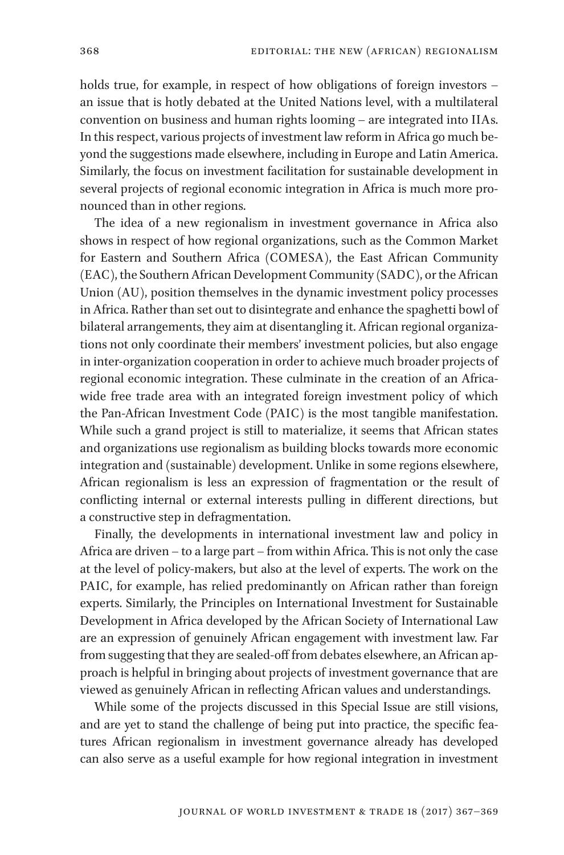holds true, for example, in respect of how obligations of foreign investors – an issue that is hotly debated at the United Nations level, with a multilateral convention on business and human rights looming – are integrated into IIAs. In this respect, various projects of investment law reform in Africa go much beyond the suggestions made elsewhere, including in Europe and Latin America. Similarly, the focus on investment facilitation for sustainable development in several projects of regional economic integration in Africa is much more pronounced than in other regions.

The idea of a new regionalism in investment governance in Africa also shows in respect of how regional organizations, such as the Common Market for Eastern and Southern Africa (COMESA), the East African Community (EAC), the Southern African Development Community (SADC), or the African Union (AU), position themselves in the dynamic investment policy processes in Africa. Rather than set out to disintegrate and enhance the spaghetti bowl of bilateral arrangements, they aim at disentangling it. African regional organizations not only coordinate their members' investment policies, but also engage in inter-organization cooperation in order to achieve much broader projects of regional economic integration. These culminate in the creation of an Africawide free trade area with an integrated foreign investment policy of which the Pan-African Investment Code (PAIC) is the most tangible manifestation. While such a grand project is still to materialize, it seems that African states and organizations use regionalism as building blocks towards more economic integration and (sustainable) development. Unlike in some regions elsewhere, African regionalism is less an expression of fragmentation or the result of conflicting internal or external interests pulling in different directions, but a constructive step in defragmentation.

Finally, the developments in international investment law and policy in Africa are driven – to a large part – from within Africa. This is not only the case at the level of policy-makers, but also at the level of experts. The work on the PAIC, for example, has relied predominantly on African rather than foreign experts. Similarly, the Principles on International Investment for Sustainable Development in Africa developed by the African Society of International Law are an expression of genuinely African engagement with investment law. Far from suggesting that they are sealed-off from debates elsewhere, an African approach is helpful in bringing about projects of investment governance that are viewed as genuinely African in reflecting African values and understandings.

While some of the projects discussed in this Special Issue are still visions, and are yet to stand the challenge of being put into practice, the specific features African regionalism in investment governance already has developed can also serve as a useful example for how regional integration in investment